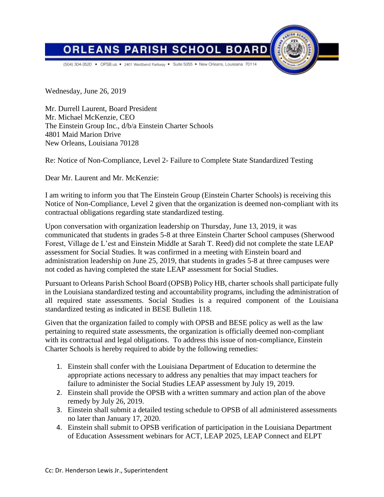



(504) 304-3520 . OPSB.us . 2401 Westbend Parkway . Suite 5055 . New Orleans, Louisiana 7011/

Wednesday, June 26, 2019

Mr. Durrell Laurent, Board President Mr. Michael McKenzie, CEO The Einstein Group Inc., d/b/a Einstein Charter Schools 4801 Maid Marion Drive New Orleans, Louisiana 70128

Re: Notice of Non-Compliance, Level 2- Failure to Complete State Standardized Testing

Dear Mr. Laurent and Mr. McKenzie:

I am writing to inform you that The Einstein Group (Einstein Charter Schools) is receiving this Notice of Non-Compliance, Level 2 given that the organization is deemed non-compliant with its contractual obligations regarding state standardized testing.

Upon conversation with organization leadership on Thursday, June 13, 2019, it was communicated that students in grades 5-8 at three Einstein Charter School campuses (Sherwood Forest, Village de L'est and Einstein Middle at Sarah T. Reed) did not complete the state LEAP assessment for Social Studies. It was confirmed in a meeting with Einstein board and administration leadership on June 25, 2019, that students in grades 5-8 at three campuses were not coded as having completed the state LEAP assessment for Social Studies.

Pursuant to Orleans Parish School Board (OPSB) Policy HB, charter schools shall participate fully in the Louisiana standardized testing and accountability programs, including the administration of all required state assessments. Social Studies is a required component of the Louisiana standardized testing as indicated in BESE Bulletin 118.

Given that the organization failed to comply with OPSB and BESE policy as well as the law pertaining to required state assessments, the organization is officially deemed non-compliant with its contractual and legal obligations. To address this issue of non-compliance, Einstein Charter Schools is hereby required to abide by the following remedies:

- 1. Einstein shall confer with the Louisiana Department of Education to determine the appropriate actions necessary to address any penalties that may impact teachers for failure to administer the Social Studies LEAP assessment by July 19, 2019.
- 2. Einstein shall provide the OPSB with a written summary and action plan of the above remedy by July 26, 2019.
- 3. Einstein shall submit a detailed testing schedule to OPSB of all administered assessments no later than January 17, 2020.
- 4. Einstein shall submit to OPSB verification of participation in the Louisiana Department of Education Assessment webinars for ACT, LEAP 2025, LEAP Connect and ELPT